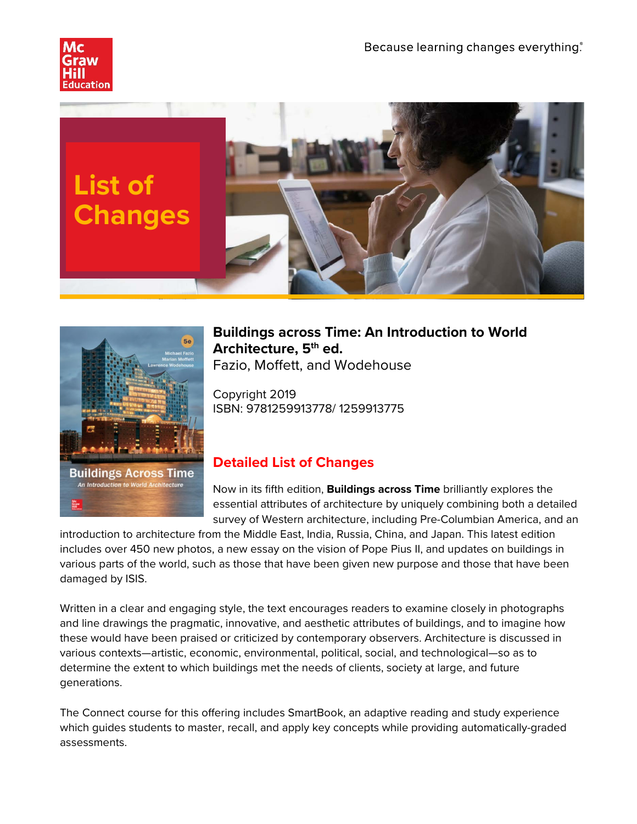





### **Buildings across Time: An Introduction to World Architecture, 5th ed.** Fazio, Moffett, and Wodehouse

Copyright 2019 ISBN: 9781259913778/ 1259913775

# **Detailed List of Changes**

Now in its fifth edition, **Buildings across Time** brilliantly explores the essential attributes of architecture by uniquely combining both a detailed survey of Western architecture, including Pre-Columbian America, and an

introduction to architecture from the Middle East, India, Russia, China, and Japan. This latest edition includes over 450 new photos, a new essay on the vision of Pope Pius II, and updates on buildings in various parts of the world, such as those that have been given new purpose and those that have been damaged by ISIS.

Written in a clear and engaging style, the text encourages readers to examine closely in photographs and line drawings the pragmatic, innovative, and aesthetic attributes of buildings, and to imagine how these would have been praised or criticized by contemporary observers. Architecture is discussed in various contexts—artistic, economic, environmental, political, social, and technological—so as to determine the extent to which buildings met the needs of clients, society at large, and future generations.

The Connect course for this offering includes SmartBook, an adaptive reading and study experience which guides students to master, recall, and apply key concepts while providing automatically-graded assessments.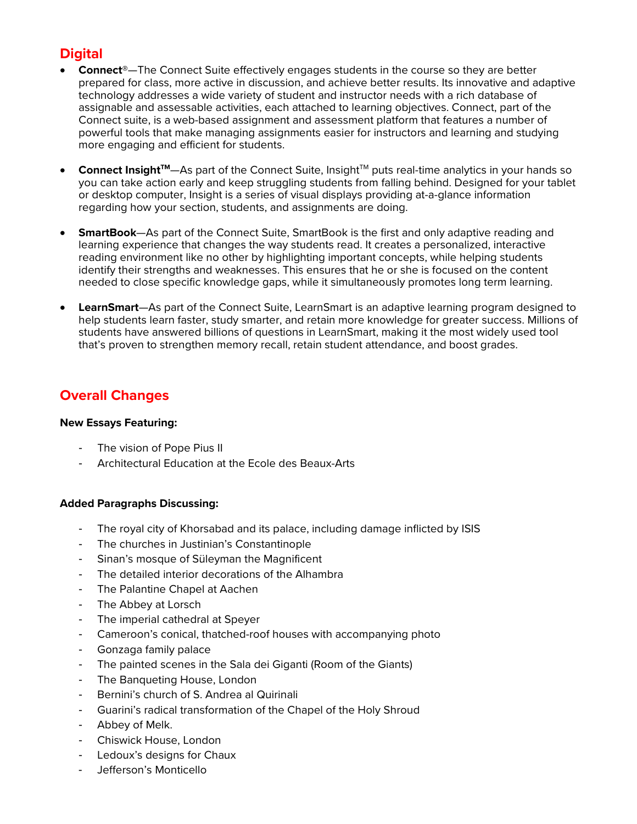# **Digital**

- **Connect®**—The Connect Suite effectively engages students in the course so they are better prepared for class, more active in discussion, and achieve better results. Its innovative and adaptive technology addresses a wide variety of student and instructor needs with a rich database of assignable and assessable activities, each attached to learning objectives. Connect, part of the Connect suite, is a web-based assignment and assessment platform that features a number of powerful tools that make managing assignments easier for instructors and learning and studying more engaging and efficient for students.
- Connect Insight<sup>™</sup>—As part of the Connect Suite, Insight<sup>™</sup> puts real-time analytics in your hands so you can take action early and keep struggling students from falling behind. Designed for your tablet or desktop computer, Insight is a series of visual displays providing at-a-glance information regarding how your section, students, and assignments are doing.
- **SmartBook**—As part of the Connect Suite, SmartBook is the first and only adaptive reading and learning experience that changes the way students read. It creates a personalized, interactive reading environment like no other by highlighting important concepts, while helping students identify their strengths and weaknesses. This ensures that he or she is focused on the content needed to close specific knowledge gaps, while it simultaneously promotes long term learning.
- **LearnSmart**—As part of the Connect Suite, LearnSmart is an adaptive learning program designed to help students learn faster, study smarter, and retain more knowledge for greater success. Millions of students have answered billions of questions in LearnSmart, making it the most widely used tool that's proven to strengthen memory recall, retain student attendance, and boost grades.

### **Overall Changes**

#### **New Essays Featuring:**

- The vision of Pope Pius II
- Architectural Education at the Ecole des Beaux-Arts

#### **Added Paragraphs Discussing:**

- The royal city of Khorsabad and its palace, including damage inflicted by ISIS
- The churches in Justinian's Constantinople
- Sinan's mosque of Süleyman the Magnificent
- The detailed interior decorations of the Alhambra
- The Palantine Chapel at Aachen
- The Abbey at Lorsch
- The imperial cathedral at Speyer
- Cameroon's conical, thatched-roof houses with accompanying photo
- Gonzaga family palace
- The painted scenes in the Sala dei Giganti (Room of the Giants)
- The Banqueting House, London
- Bernini's church of S. Andrea al Quirinali
- Guarini's radical transformation of the Chapel of the Holy Shroud
- Abbey of Melk.
- Chiswick House, London
- Ledoux's designs for Chaux
- Jefferson's Monticello